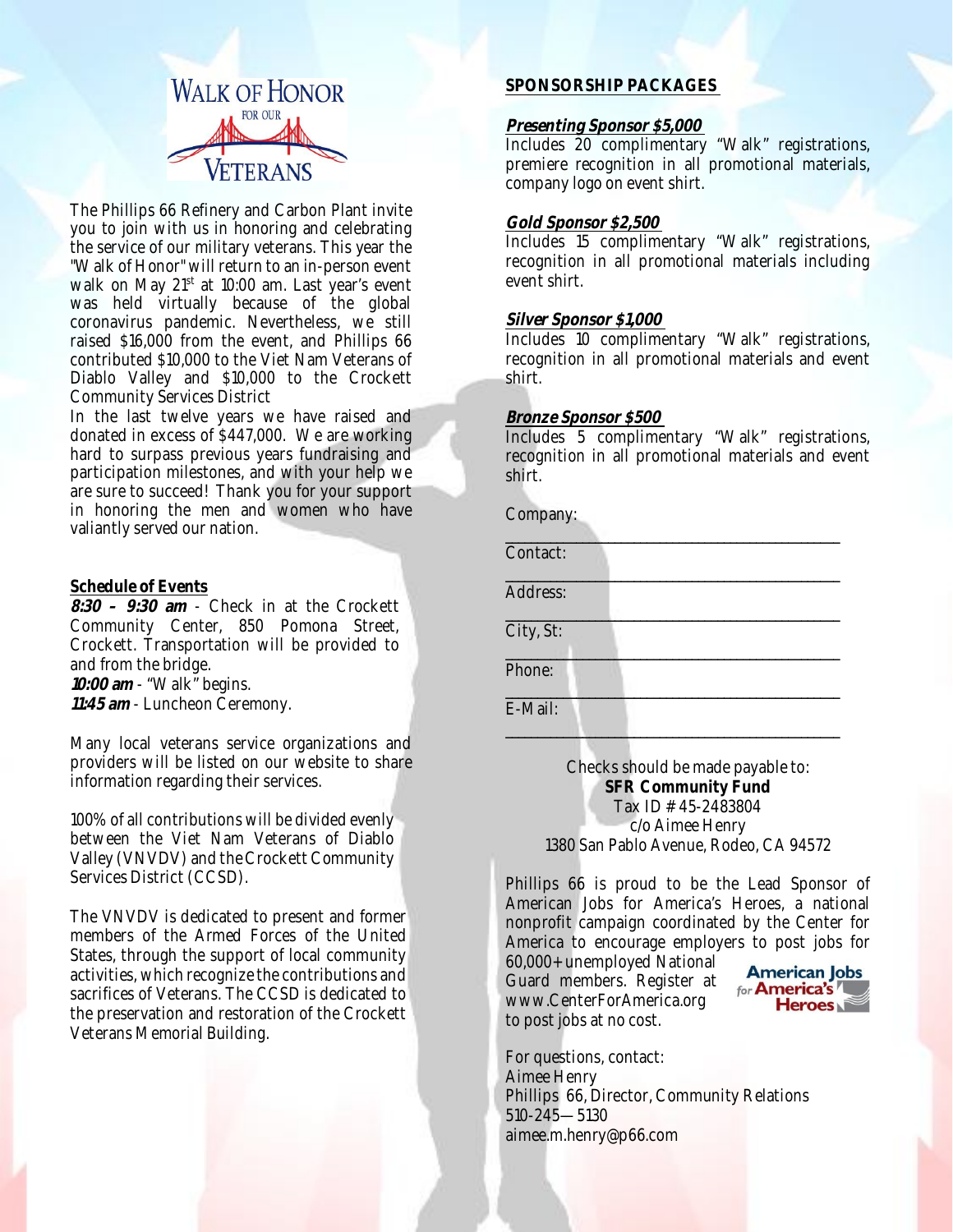

The Phillips 66 Refinery and Carbon Plant invite you to join with us in honoring and celebrating the service of our military veterans. This year the "Walk of Honor" will return to an in-person event walk on May 21<sup>st</sup> at 10:00 am. Last year's event was held virtually because of the global coronavirus pandemic. Nevertheless, we still raised \$16,000 from the event, and Phillips 66 contributed \$10,000 to the Viet Nam Veterans of Diablo Valley and \$10,000 to the Crockett Community Services District

In the last twelve years we have raised and donated in excess of \$447,000. We are working hard to surpass previous years fundraising and participation milestones, and with your help we are sure to succeed! Thank you for your support in honoring the men and women who have valiantly served our nation.

### **Schedule of Events**

**8:30 – 9:30 am** - Check in at the Crockett Community Center, 850 Pomona Street, Crockett. Transportation will be provided to and from the bridge. **10:00 am** - "Walk" begins.

**11:45 am** - Luncheon Ceremony.

Many local veterans service organizations and providers will be listed on our website to share information regarding their services.

100% of all contributions will be divided evenly between the Viet Nam Veterans of Diablo Valley (VNVDV) and the Crockett Community Services District (CCSD).

The VNVDV is dedicated to present and former members of the Armed Forces of the United States, through the support of local community activities, which recognize the contributions and sacrifices of Veterans. The CCSD is dedicated to the preservation and restoration of the Crockett Veterans Memorial Building.

## **SPONSORSHIP PACKAGES**

#### **Presenting Sponsor \$5,000**

Includes 20 complimentary "Walk" registrations, premiere recognition in all promotional materials, company logo on event shirt.

### **Gold Sponsor \$2,500**

Includes 15 complimentary "Walk" registrations, recognition in all promotional materials including event shirt.

## **Silver Sponsor \$1,000**

Includes 10 complimentary "Walk" registrations, recognition in all promotional materials and event shirt.

#### **Bronze Sponsor \$500**

Includes 5 complimentary "Walk" registrations, recognition in all promotional materials and event shirt.

 $\frac{1}{2}$  ,  $\frac{1}{2}$  ,  $\frac{1}{2}$  ,  $\frac{1}{2}$  ,  $\frac{1}{2}$  ,  $\frac{1}{2}$  ,  $\frac{1}{2}$  ,  $\frac{1}{2}$  ,  $\frac{1}{2}$  ,  $\frac{1}{2}$  ,  $\frac{1}{2}$  ,  $\frac{1}{2}$  ,  $\frac{1}{2}$  ,  $\frac{1}{2}$  ,  $\frac{1}{2}$  ,  $\frac{1}{2}$  ,  $\frac{1}{2}$  ,  $\frac{1}{2}$  ,  $\frac{1$ 

\_\_\_\_\_\_\_\_\_\_\_\_\_\_\_\_\_\_\_\_\_\_\_\_\_\_\_\_\_\_\_\_\_\_\_\_\_\_\_\_\_\_\_\_\_\_\_\_\_\_\_\_

\_\_\_\_\_\_\_\_\_\_\_\_\_\_\_\_\_\_\_\_\_\_\_\_\_\_\_\_\_\_\_\_\_\_\_\_\_\_\_\_\_\_\_\_\_\_\_\_\_\_\_\_

| Company: |
|----------|
|          |

\_\_\_\_\_\_\_\_\_\_\_\_\_\_\_\_\_\_\_\_\_\_\_\_\_\_\_\_\_\_\_\_\_\_\_\_\_\_\_\_\_\_\_\_\_\_\_\_\_\_\_\_ Address:

City, St:

Contact:

\_\_\_\_\_\_\_\_\_\_\_\_\_\_\_\_\_\_\_\_\_\_\_\_\_\_\_\_\_\_\_\_\_\_\_\_\_\_\_\_\_\_\_\_\_\_\_\_\_\_\_\_ Phone:

\_\_\_\_\_\_\_\_\_\_\_\_\_\_\_\_\_\_\_\_\_\_\_\_\_\_\_\_\_\_\_\_\_\_\_\_\_\_\_\_\_\_\_\_\_\_\_\_\_\_\_\_ E-Mail:

> Checks should be made payable to: **SFR Community Fund** Tax ID # 45-2483804 c/o Aimee Henry 1380 San Pablo Avenue, Rodeo, CA 94572

Phillips 66 is proud to be the Lead Sponsor of American Jobs for America's Heroes, a national nonprofit campaign coordinated by the Center for America to encourage employers to post jobs for

60,000+ unemployed National Guard members. Register at www.CenterForAmerica.org to post jobs at no cost.



For questions, contact: Aimee Henry Phillips 66, Director, Community Relations 510-245—5130 aimee.m.henry@p66.com